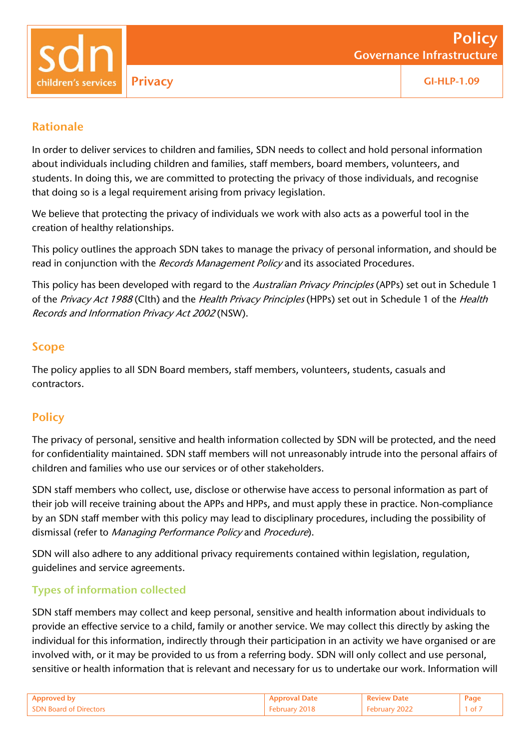### Rationale

In order to deliver services to children and families, SDN needs to collect and hold personal information about individuals including children and families, staff members, board members, volunteers, and students. In doing this, we are committed to protecting the privacy of those individuals, and recognise that doing so is a legal requirement arising from privacy legislation.

We believe that protecting the privacy of individuals we work with also acts as a powerful tool in the creation of healthy relationships.

This policy outlines the approach SDN takes to manage the privacy of personal information, and should be read in conjunction with the Records Management Policy and its associated Procedures.

This policy has been developed with regard to the Australian Privacy Principles (APPs) set out in Schedule 1 of the Privacy Act 1988 (Clth) and the Health Privacy Principles (HPPs) set out in Schedule 1 of the Health Records and Information Privacy Act <sup>2002</sup> (NSW).

### Scope

The policy applies to all SDN Board members, staff members, volunteers, students, casuals and contractors.

# **Policy**

The privacy of personal, sensitive and health information collected by SDN will be protected, and the need for confidentiality maintained. SDN staff members will not unreasonably intrude into the personal affairs of children and families who use our services or of other stakeholders.

SDN staff members who collect, use, disclose or otherwise have access to personal information as part of their job will receive training about the APPs and HPPs, and must apply these in practice. Non-compliance by an SDN staff member with this policy may lead to disciplinary procedures, including the possibility of dismissal (refer to Managing Performance Policy and Procedure).

SDN will also adhere to any additional privacy requirements contained within legislation, regulation, guidelines and service agreements.

## Types of information collected

SDN staff members may collect and keep personal, sensitive and health information about individuals to provide an effective service to a child, family or another service. We may collect this directly by asking the individual for this information, indirectly through their participation in an activity we have organised or are involved with, or it may be provided to us from a referring body. SDN will only collect and use personal, sensitive or health information that is relevant and necessary for us to undertake our work. Information will

|                                     | <b>Security</b> | zaar, |
|-------------------------------------|-----------------|-------|
| <b>SDN Board of</b><br>* Llirector∈ |                 | 1 of  |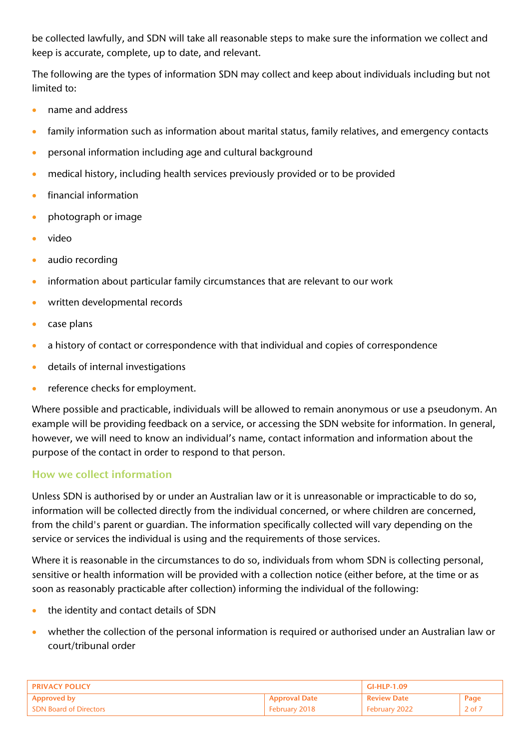be collected lawfully, and SDN will take all reasonable steps to make sure the information we collect and keep is accurate, complete, up to date, and relevant.

The following are the types of information SDN may collect and keep about individuals including but not limited to:

- name and address
- family information such as information about marital status, family relatives, and emergency contacts
- personal information including age and cultural background
- medical history, including health services previously provided or to be provided
- financial information
- photograph or image
- video
- audio recording
- information about particular family circumstances that are relevant to our work
- **•** written developmental records
- case plans
- a history of contact or correspondence with that individual and copies of correspondence
- details of internal investigations
- reference checks for employment.

Where possible and practicable, individuals will be allowed to remain anonymous or use a pseudonym. An example will be providing feedback on a service, or accessing the SDN website for information. In general, however, we will need to know an individual's name, contact information and information about the purpose of the contact in order to respond to that person.

## How we collect information

Unless SDN is authorised by or under an Australian law or it is unreasonable or impracticable to do so, information will be collected directly from the individual concerned, or where children are concerned, from the child's parent or guardian. The information specifically collected will vary depending on the service or services the individual is using and the requirements of those services.

Where it is reasonable in the circumstances to do so, individuals from whom SDN is collecting personal, sensitive or health information will be provided with a collection notice (either before, at the time or as soon as reasonably practicable after collection) informing the individual of the following:

- the identity and contact details of SDN
- whether the collection of the personal information is required or authorised under an Australian law or court/tribunal order

| <b>PRIVACY POLICY</b>         |                      | GI-HLP-1.09        |                  |
|-------------------------------|----------------------|--------------------|------------------|
| <b>Approved by</b>            | <b>Approval Date</b> | <b>Review Date</b> | Page             |
| <b>SDN Board of Directors</b> | February 2018        | February 2022      | $2$ of $\lambda$ |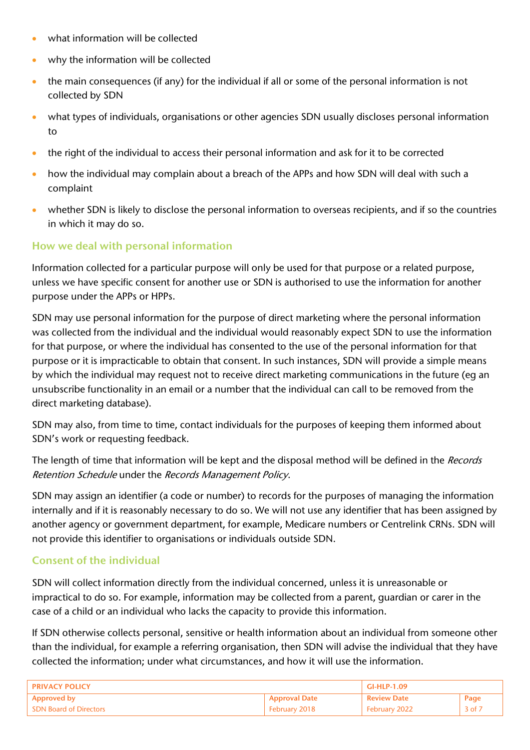- what information will be collected
- why the information will be collected
- the main consequences (if any) for the individual if all or some of the personal information is not collected by SDN
- what types of individuals, organisations or other agencies SDN usually discloses personal information to
- the right of the individual to access their personal information and ask for it to be corrected
- how the individual may complain about a breach of the APPs and how SDN will deal with such a complaint
- whether SDN is likely to disclose the personal information to overseas recipients, and if so the countries in which it may do so.

### How we deal with personal information

Information collected for a particular purpose will only be used for that purpose or a related purpose, unless we have specific consent for another use or SDN is authorised to use the information for another purpose under the APPs or HPPs.

SDN may use personal information for the purpose of direct marketing where the personal information was collected from the individual and the individual would reasonably expect SDN to use the information for that purpose, or where the individual has consented to the use of the personal information for that purpose or it is impracticable to obtain that consent. In such instances, SDN will provide a simple means by which the individual may request not to receive direct marketing communications in the future (eg an unsubscribe functionality in an email or a number that the individual can call to be removed from the direct marketing database).

SDN may also, from time to time, contact individuals for the purposes of keeping them informed about SDN's work or requesting feedback.

The length of time that information will be kept and the disposal method will be defined in the Records Retention Schedule under the Records Management Policy.

SDN may assign an identifier (a code or number) to records for the purposes of managing the information internally and if it is reasonably necessary to do so. We will not use any identifier that has been assigned by another agency or government department, for example, Medicare numbers or Centrelink CRNs. SDN will not provide this identifier to organisations or individuals outside SDN.

## Consent of the individual

SDN will collect information directly from the individual concerned, unless it is unreasonable or impractical to do so. For example, information may be collected from a parent, guardian or carer in the case of a child or an individual who lacks the capacity to provide this information.

If SDN otherwise collects personal, sensitive or health information about an individual from someone other than the individual, for example a referring organisation, then SDN will advise the individual that they have collected the information; under what circumstances, and how it will use the information.

| <b>PRIVACY POLICY</b>         |                      | GI-HLP-1.09        |            |
|-------------------------------|----------------------|--------------------|------------|
| <b>Approved by</b>            | <b>Approval Date</b> | <b>Review Date</b> | Page       |
| <b>SDN Board of Directors</b> | February 2018        | February 2022      | $3$ of $7$ |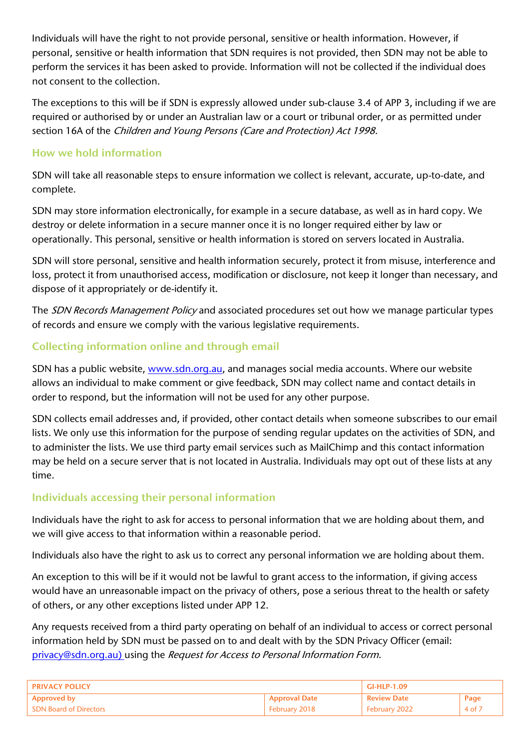Individuals will have the right to not provide personal, sensitive or health information. However, if personal, sensitive or health information that SDN requires is not provided, then SDN may not be able to perform the services it has been asked to provide. Information will not be collected if the individual does not consent to the collection.

The exceptions to this will be if SDN is expressly allowed under sub-clause 3.4 of APP 3, including if we are required or authorised by or under an Australian law or a court or tribunal order, or as permitted under section 16A of the Children and Young Persons (Care and Protection) Act 1998.

### How we hold information

SDN will take all reasonable steps to ensure information we collect is relevant, accurate, up-to-date, and complete.

SDN may store information electronically, for example in a secure database, as well as in hard copy. We destroy or delete information in a secure manner once it is no longer required either by law or operationally. This personal, sensitive or health information is stored on servers located in Australia.

SDN will store personal, sensitive and health information securely, protect it from misuse, interference and loss, protect it from unauthorised access, modification or disclosure, not keep it longer than necessary, and dispose of it appropriately or de-identify it.

The SDN Records Management Policy and associated procedures set out how we manage particular types of records and ensure we comply with the various legislative requirements.

## Collecting information online and through email

SDN has a public website, [www.sdn.org.au,](http://www.sdn.org.au/) and manages social media accounts. Where our website allows an individual to make comment or give feedback, SDN may collect name and contact details in order to respond, but the information will not be used for any other purpose.

SDN collects email addresses and, if provided, other contact details when someone subscribes to our email lists. We only use this information for the purpose of sending regular updates on the activities of SDN, and to administer the lists. We use third party email services such as MailChimp and this contact information may be held on a secure server that is not located in Australia. Individuals may opt out of these lists at any time.

## Individuals accessing their personal information

Individuals have the right to ask for access to personal information that we are holding about them, and we will give access to that information within a reasonable period.

Individuals also have the right to ask us to correct any personal information we are holding about them.

An exception to this will be if it would not be lawful to grant access to the information, if giving access would have an unreasonable impact on the privacy of others, pose a serious threat to the health or safety of others, or any other exceptions listed under APP 12.

Any requests received from a third party operating on behalf of an individual to access or correct personal information held by SDN must be passed on to and dealt with by the SDN Privacy Officer (email: [privacy@sdn.org.au\)](mailto:privacy@sdn.org.au) using the Request for Access to Personal Information Form.

| <b>PRIVACY POLICY</b>         |                      | GI-HLP-1.09        |                     |
|-------------------------------|----------------------|--------------------|---------------------|
| <b>Approved by</b>            | <b>Approval Date</b> | <b>Review Date</b> | Page                |
| <b>SDN Board of Directors</b> | <b>February 2018</b> | February 2022      | 4 of $\overline{7}$ |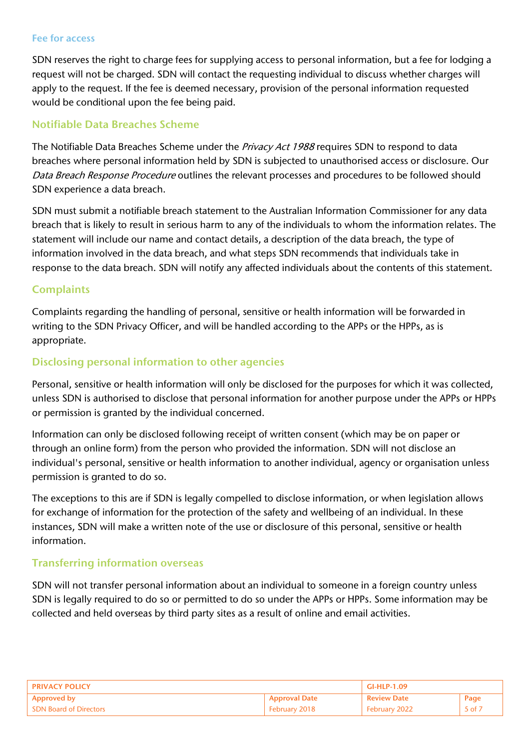#### Fee for access

SDN reserves the right to charge fees for supplying access to personal information, but a fee for lodging a request will not be charged. SDN will contact the requesting individual to discuss whether charges will apply to the request. If the fee is deemed necessary, provision of the personal information requested would be conditional upon the fee being paid.

#### Notifiable Data Breaches Scheme

The Notifiable Data Breaches Scheme under the Privacy Act 1988 requires SDN to respond to data breaches where personal information held by SDN is subjected to unauthorised access or disclosure. Our Data Breach Response Procedure outlines the relevant processes and procedures to be followed should SDN experience a data breach.

SDN must submit a notifiable breach statement to the Australian Information Commissioner for any data breach that is likely to result in serious harm to any of the individuals to whom the information relates. The statement will include our name and contact details, a description of the data breach, the type of information involved in the data breach, and what steps SDN recommends that individuals take in response to the data breach. SDN will notify any affected individuals about the contents of this statement.

#### **Complaints**

Complaints regarding the handling of personal, sensitive or health information will be forwarded in writing to the SDN Privacy Officer, and will be handled according to the APPs or the HPPs, as is appropriate.

#### Disclosing personal information to other agencies

Personal, sensitive or health information will only be disclosed for the purposes for which it was collected, unless SDN is authorised to disclose that personal information for another purpose under the APPs or HPPs or permission is granted by the individual concerned.

Information can only be disclosed following receipt of written consent (which may be on paper or through an online form) from the person who provided the information. SDN will not disclose an individual's personal, sensitive or health information to another individual, agency or organisation unless permission is granted to do so.

The exceptions to this are if SDN is legally compelled to disclose information, or when legislation allows for exchange of information for the protection of the safety and wellbeing of an individual. In these instances, SDN will make a written note of the use or disclosure of this personal, sensitive or health information.

#### Transferring information overseas

SDN will not transfer personal information about an individual to someone in a foreign country unless SDN is legally required to do so or permitted to do so under the APPs or HPPs. Some information may be collected and held overseas by third party sites as a result of online and email activities.

| ' PRIVACY POLICY       |                      | GI-HLP-1.09   |                   |
|------------------------|----------------------|---------------|-------------------|
| Approved by            | <b>Approval Date</b> | ' Review Date | Page              |
| SDN Board of Directors | February 2018        | February 2022 | $.5$ of $\bar{ }$ |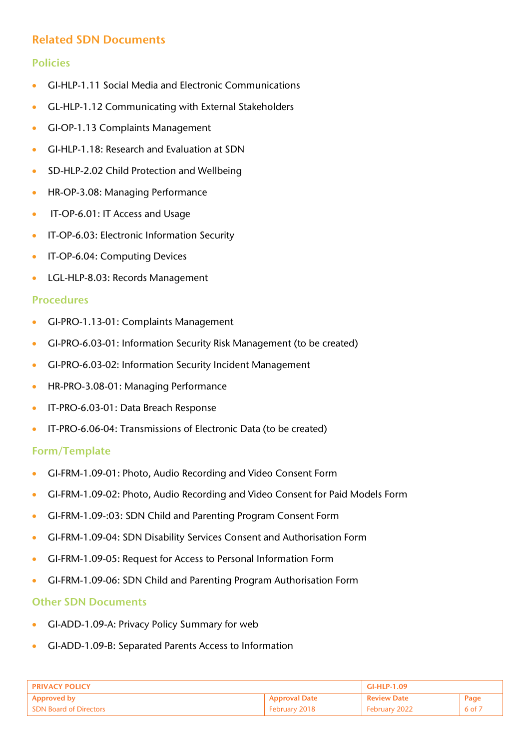## Related SDN Documents

### Policies

- GI-HLP-1.11 Social Media and Electronic Communications
- GL-HLP-1.12 Communicating with External Stakeholders
- GI-OP-1.13 Complaints Management
- GI-HLP-1.18: Research and Evaluation at SDN
- **SD-HLP-2.02 Child Protection and Wellbeing**
- HR-OP-3.08: Managing Performance
- IT-OP-6.01: IT Access and Usage
- **IT-OP-6.03: Electronic Information Security**
- **IT-OP-6.04: Computing Devices**
- **LGL-HLP-8.03: Records Management**

#### Procedures

- GI-PRO-1.13-01: Complaints Management
- GI-PRO-6.03-01: Information Security Risk Management (to be created)
- GI-PRO-6.03-02: Information Security Incident Management
- **HR-PRO-3.08-01: Managing Performance**
- **IT-PRO-6.03-01: Data Breach Response**
- IT-PRO-6.06-04: Transmissions of Electronic Data (to be created)

#### Form/Template

- GI-FRM-1.09-01: Photo, Audio Recording and Video Consent Form
- GI-FRM-1.09-02: Photo, Audio Recording and Video Consent for Paid Models Form
- GI-FRM-1.09-:03: SDN Child and Parenting Program Consent Form
- GI-FRM-1.09-04: SDN Disability Services Consent and Authorisation Form
- GI-FRM-1.09-05: Request for Access to Personal Information Form
- GI-FRM-1.09-06: SDN Child and Parenting Program Authorisation Form

#### Other SDN Documents

- GI-ADD-1.09-A: Privacy Policy Summary for web
- GI-ADD-1.09-B: Separated Parents Access to Information

| <b>PRIVACY POLICY</b>         |                      | GI-HLP-1.09        |        |
|-------------------------------|----------------------|--------------------|--------|
| Approved by                   | <b>Approval Date</b> | <b>Review Date</b> | Page   |
| <b>SDN Board of Directors</b> | February 2018        | February 2022      | 6 of 7 |